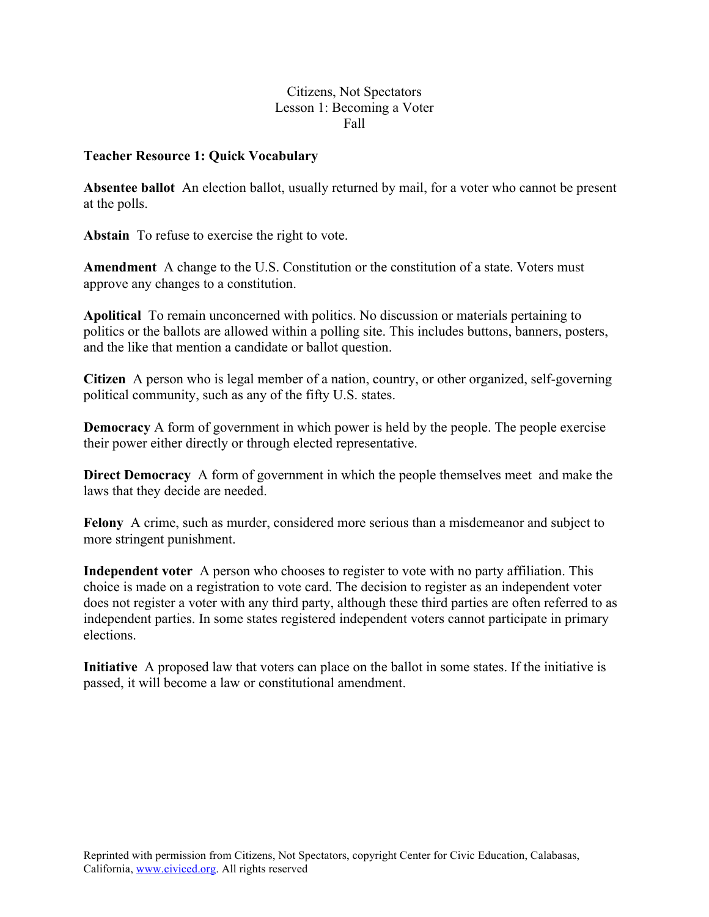#### Citizens, Not Spectators Lesson 1: Becoming a Voter Fall

#### **Teacher Resource 1: Quick Vocabulary**

**Absentee ballot** An election ballot, usually returned by mail, for a voter who cannot be present at the polls.

**Abstain** To refuse to exercise the right to vote.

**Amendment** A change to the U.S. Constitution or the constitution of a state. Voters must approve any changes to a constitution.

**Apolitical** To remain unconcerned with politics. No discussion or materials pertaining to politics or the ballots are allowed within a polling site. This includes buttons, banners, posters, and the like that mention a candidate or ballot question.

**Citizen** A person who is legal member of a nation, country, or other organized, self-governing political community, such as any of the fifty U.S. states.

**Democracy** A form of government in which power is held by the people. The people exercise their power either directly or through elected representative.

**Direct Democracy** A form of government in which the people themselves meet and make the laws that they decide are needed.

**Felony** A crime, such as murder, considered more serious than a misdemeanor and subject to more stringent punishment.

**Independent voter** A person who chooses to register to vote with no party affiliation. This choice is made on a registration to vote card. The decision to register as an independent voter does not register a voter with any third party, although these third parties are often referred to as independent parties. In some states registered independent voters cannot participate in primary elections.

**Initiative** A proposed law that voters can place on the ballot in some states. If the initiative is passed, it will become a law or constitutional amendment.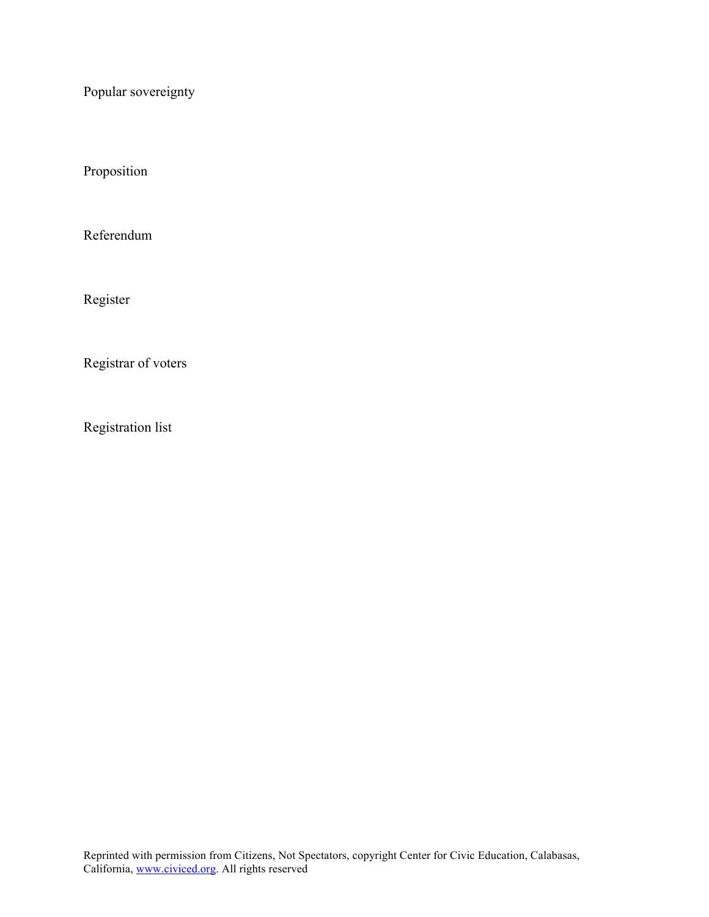Popular sovereignty

Proposition

Referendum

Register

Registrar of voters

Registration list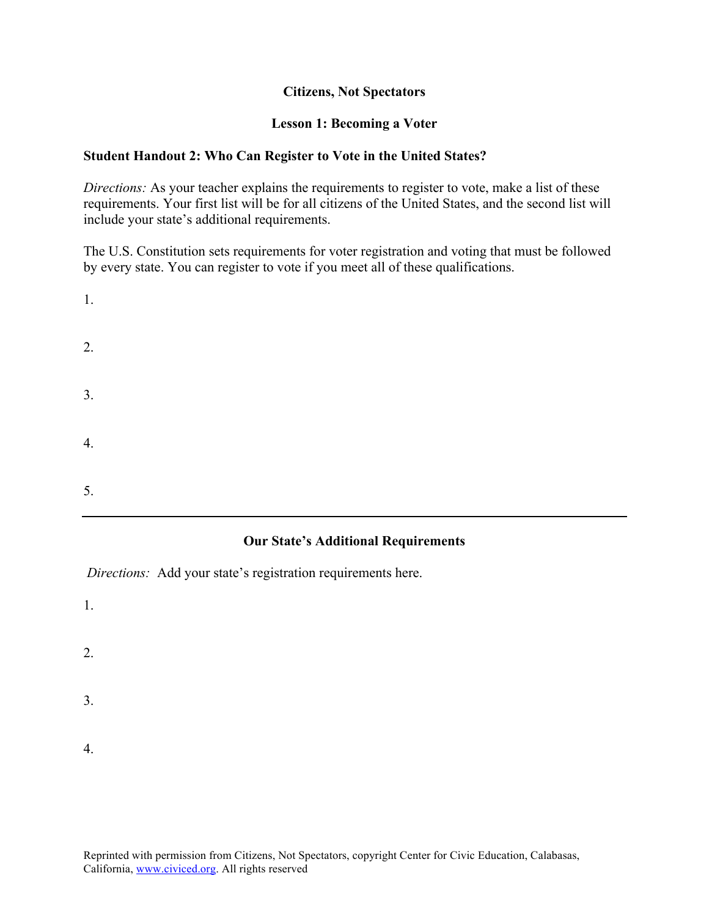## **Citizens, Not Spectators**

### **Lesson 1: Becoming a Voter**

## **Student Handout 2: Who Can Register to Vote in the United States?**

*Directions:* As your teacher explains the requirements to register to vote, make a list of these requirements. Your first list will be for all citizens of the United States, and the second list will include your state's additional requirements.

The U.S. Constitution sets requirements for voter registration and voting that must be followed by every state. You can register to vote if you meet all of these qualifications.

| 1. |  |  |  |
|----|--|--|--|
| 2. |  |  |  |
| 3. |  |  |  |
| 4. |  |  |  |
| 5. |  |  |  |

#### **Our State's Additional Requirements**

 *Directions:* Add your state's registration requirements here.

- 1.
- 2.
- 3.
- 4.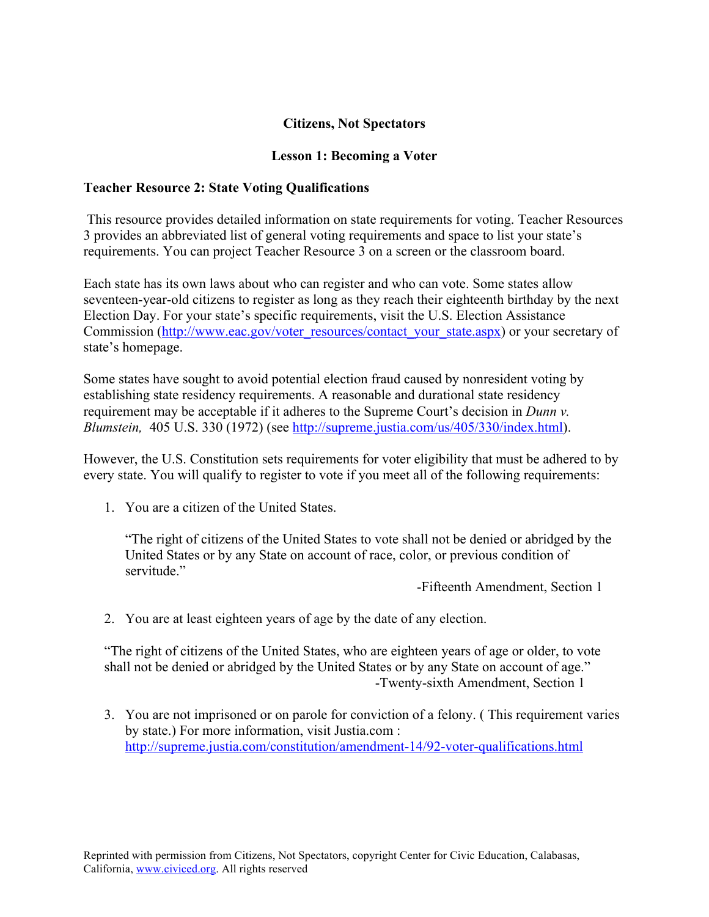# **Citizens, Not Spectators**

# **Lesson 1: Becoming a Voter**

## **Teacher Resource 2: State Voting Qualifications**

 This resource provides detailed information on state requirements for voting. Teacher Resources 3 provides an abbreviated list of general voting requirements and space to list your state's requirements. You can project Teacher Resource 3 on a screen or the classroom board.

Each state has its own laws about who can register and who can vote. Some states allow seventeen-year-old citizens to register as long as they reach their eighteenth birthday by the next Election Day. For your state's specific requirements, visit the U.S. Election Assistance Commission (http://www.eac.gov/voter\_resources/contact\_your\_state.aspx) or your secretary of state's homepage.

Some states have sought to avoid potential election fraud caused by nonresident voting by establishing state residency requirements. A reasonable and durational state residency requirement may be acceptable if it adheres to the Supreme Court's decision in *Dunn v. Blumstein,* 405 U.S. 330 (1972) (see http://supreme.justia.com/us/405/330/index.html).

However, the U.S. Constitution sets requirements for voter eligibility that must be adhered to by every state. You will qualify to register to vote if you meet all of the following requirements:

1. You are a citizen of the United States.

"The right of citizens of the United States to vote shall not be denied or abridged by the United States or by any State on account of race, color, or previous condition of servitude<sup>"</sup>

-Fifteenth Amendment, Section 1

2. You are at least eighteen years of age by the date of any election.

"The right of citizens of the United States, who are eighteen years of age or older, to vote shall not be denied or abridged by the United States or by any State on account of age." -Twenty-sixth Amendment, Section 1

3. You are not imprisoned or on parole for conviction of a felony. ( This requirement varies by state.) For more information, visit Justia.com : http://supreme.justia.com/constitution/amendment-14/92-voter-qualifications.html